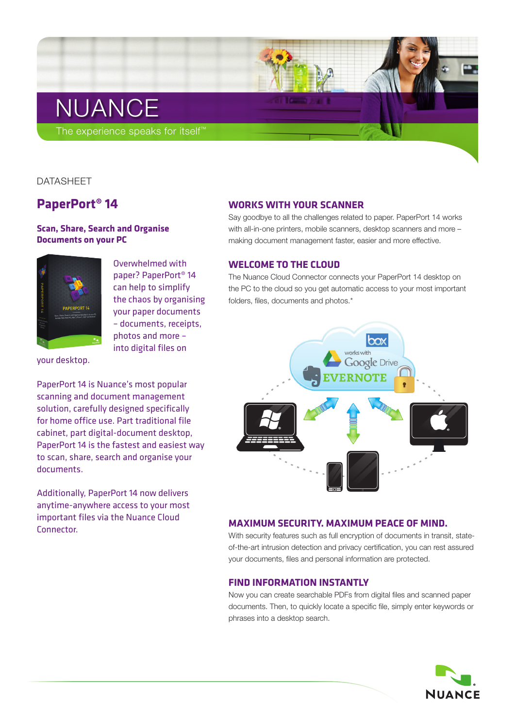# NUANCE

The experience speaks for itself<sup>™</sup>

## DATASHEET

## **PaperPort® 14**

## **Scan, Share, Search and Organise Documents on your PC**



Overwhelmed with paper? PaperPort® 14 can help to simplify the chaos by organising your paper documents – documents, receipts, photos and more – into digital files on

your desktop.

PaperPort 14 is Nuance's most popular scanning and document management solution, carefully designed specifically for home office use. Part traditional file cabinet, part digital-document desktop, PaperPort 14 is the fastest and easiest way to scan, share, search and organise your documents.

Additionally, PaperPort 14 now delivers anytime-anywhere access to your most important files via the Nuance Cloud Connector.

## **Works with your Scanner**

Say goodbye to all the challenges related to paper. PaperPort 14 works with all-in-one printers, mobile scanners, desktop scanners and more – making document management faster, easier and more effective.

## **Welcome to the Cloud**

The Nuance Cloud Connector connects your PaperPort 14 desktop on the PC to the cloud so you get automatic access to your most important folders, files, documents and photos.\*



## **Maximum Security. Maximum Peace of Mind.**

With security features such as full encryption of documents in transit, stateof-the-art intrusion detection and privacy certification, you can rest assured your documents, files and personal information are protected.

## **Find information instantly**

Now you can create searchable PDFs from digital files and scanned paper documents. Then, to quickly locate a specific file, simply enter keywords or phrases into a desktop search.